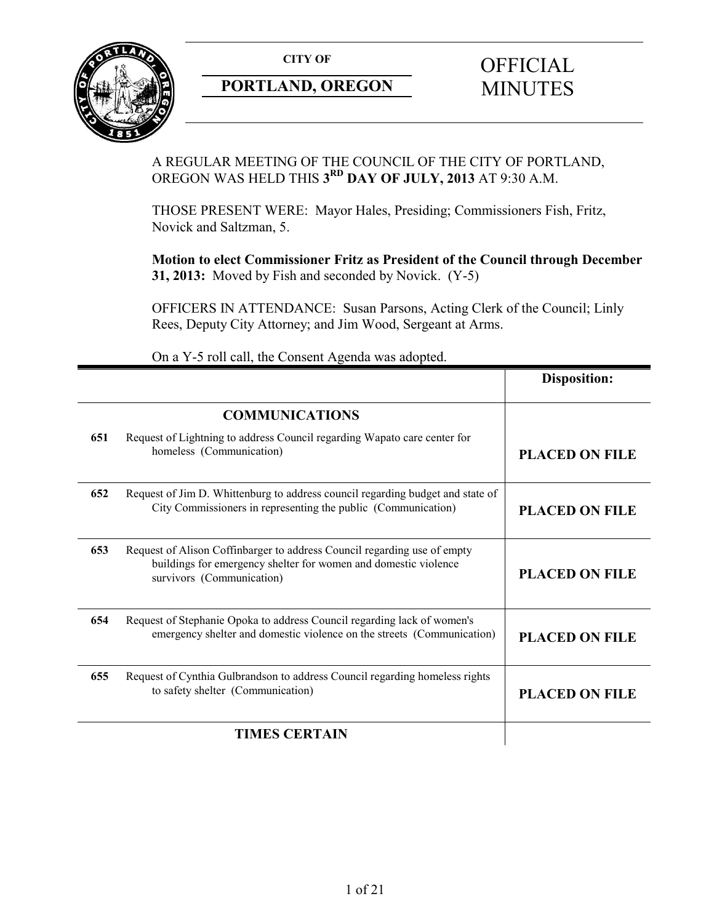

# **PORTLAND, OREGON MINUTES**

# **CITY OF** OFFICIAL

# A REGULAR MEETING OF THE COUNCIL OF THE CITY OF PORTLAND, OREGON WAS HELD THIS **3RD DAY OF JULY, 2013** AT 9:30 A.M.

THOSE PRESENT WERE: Mayor Hales, Presiding; Commissioners Fish, Fritz, Novick and Saltzman, 5.

**Motion to elect Commissioner Fritz as President of the Council through December 31, 2013:** Moved by Fish and seconded by Novick. (Y-5)

OFFICERS IN ATTENDANCE: Susan Parsons, Acting Clerk of the Council; Linly Rees, Deputy City Attorney; and Jim Wood, Sergeant at Arms.

|                      |                                                                                                                                                                          | <b>Disposition:</b>   |
|----------------------|--------------------------------------------------------------------------------------------------------------------------------------------------------------------------|-----------------------|
|                      | <b>COMMUNICATIONS</b>                                                                                                                                                    |                       |
| 651                  | Request of Lightning to address Council regarding Wapato care center for<br>homeless (Communication)                                                                     | <b>PLACED ON FILE</b> |
| 652                  | Request of Jim D. Whittenburg to address council regarding budget and state of<br>City Commissioners in representing the public (Communication)                          | <b>PLACED ON FILE</b> |
| 653                  | Request of Alison Coffinbarger to address Council regarding use of empty<br>buildings for emergency shelter for women and domestic violence<br>survivors (Communication) | <b>PLACED ON FILE</b> |
| 654                  | Request of Stephanie Opoka to address Council regarding lack of women's<br>emergency shelter and domestic violence on the streets (Communication)                        | <b>PLACED ON FILE</b> |
| 655                  | Request of Cynthia Gulbrandson to address Council regarding homeless rights<br>to safety shelter (Communication)                                                         | <b>PLACED ON FILE</b> |
| <b>TIMES CERTAIN</b> |                                                                                                                                                                          |                       |

On a Y-5 roll call, the Consent Agenda was adopted.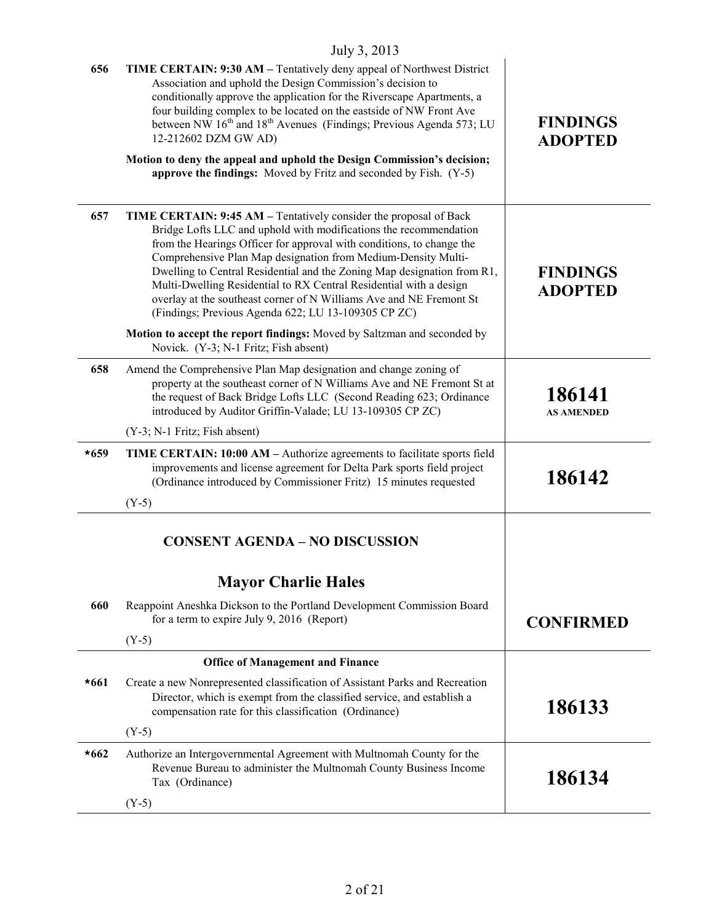|        | July 3, 2013                                                                                                                                                                                                                                                                                                                                                                                                                                                                                                                                                    |                                   |
|--------|-----------------------------------------------------------------------------------------------------------------------------------------------------------------------------------------------------------------------------------------------------------------------------------------------------------------------------------------------------------------------------------------------------------------------------------------------------------------------------------------------------------------------------------------------------------------|-----------------------------------|
| 656    | TIME CERTAIN: 9:30 AM - Tentatively deny appeal of Northwest District<br>Association and uphold the Design Commission's decision to<br>conditionally approve the application for the Riverscape Apartments, a<br>four building complex to be located on the eastside of NW Front Ave<br>between NW 16 <sup>th</sup> and 18 <sup>th</sup> Avenues (Findings; Previous Agenda 573; LU<br>12-212602 DZM GW AD)<br>Motion to deny the appeal and uphold the Design Commission's decision;                                                                           | <b>FINDINGS</b><br><b>ADOPTED</b> |
|        | approve the findings: Moved by Fritz and seconded by Fish. (Y-5)                                                                                                                                                                                                                                                                                                                                                                                                                                                                                                |                                   |
| 657    | TIME CERTAIN: 9:45 AM – Tentatively consider the proposal of Back<br>Bridge Lofts LLC and uphold with modifications the recommendation<br>from the Hearings Officer for approval with conditions, to change the<br>Comprehensive Plan Map designation from Medium-Density Multi-<br>Dwelling to Central Residential and the Zoning Map designation from R1,<br>Multi-Dwelling Residential to RX Central Residential with a design<br>overlay at the southeast corner of N Williams Ave and NE Fremont St<br>(Findings; Previous Agenda 622; LU 13-109305 CP ZC) | <b>FINDINGS</b><br><b>ADOPTED</b> |
|        | Motion to accept the report findings: Moved by Saltzman and seconded by<br>Novick. (Y-3; N-1 Fritz; Fish absent)                                                                                                                                                                                                                                                                                                                                                                                                                                                |                                   |
| 658    | Amend the Comprehensive Plan Map designation and change zoning of<br>property at the southeast corner of N Williams Ave and NE Fremont St at<br>the request of Back Bridge Lofts LLC (Second Reading 623; Ordinance<br>introduced by Auditor Griffin-Valade; LU 13-109305 CP ZC)                                                                                                                                                                                                                                                                                | 186141<br><b>AS AMENDED</b>       |
|        | (Y-3; N-1 Fritz; Fish absent)                                                                                                                                                                                                                                                                                                                                                                                                                                                                                                                                   |                                   |
| $*659$ | TIME CERTAIN: 10:00 AM – Authorize agreements to facilitate sports field<br>improvements and license agreement for Delta Park sports field project<br>(Ordinance introduced by Commissioner Fritz) 15 minutes requested                                                                                                                                                                                                                                                                                                                                         | 186142                            |
|        | $(Y-5)$                                                                                                                                                                                                                                                                                                                                                                                                                                                                                                                                                         |                                   |
|        | <b>CONSENT AGENDA - NO DISCUSSION</b>                                                                                                                                                                                                                                                                                                                                                                                                                                                                                                                           |                                   |
|        | <b>Mayor Charlie Hales</b>                                                                                                                                                                                                                                                                                                                                                                                                                                                                                                                                      |                                   |
| 660    | Reappoint Aneshka Dickson to the Portland Development Commission Board<br>for a term to expire July 9, 2016 (Report)                                                                                                                                                                                                                                                                                                                                                                                                                                            | <b>CONFIRMED</b>                  |
|        | $(Y-5)$                                                                                                                                                                                                                                                                                                                                                                                                                                                                                                                                                         |                                   |
|        | <b>Office of Management and Finance</b>                                                                                                                                                                                                                                                                                                                                                                                                                                                                                                                         |                                   |
| $*661$ | Create a new Nonrepresented classification of Assistant Parks and Recreation<br>Director, which is exempt from the classified service, and establish a<br>compensation rate for this classification (Ordinance)                                                                                                                                                                                                                                                                                                                                                 | 186133                            |
|        | $(Y-5)$                                                                                                                                                                                                                                                                                                                                                                                                                                                                                                                                                         |                                   |
| $*662$ | Authorize an Intergovernmental Agreement with Multnomah County for the<br>Revenue Bureau to administer the Multnomah County Business Income<br>Tax (Ordinance)                                                                                                                                                                                                                                                                                                                                                                                                  | 186134                            |
|        | $(Y-5)$                                                                                                                                                                                                                                                                                                                                                                                                                                                                                                                                                         |                                   |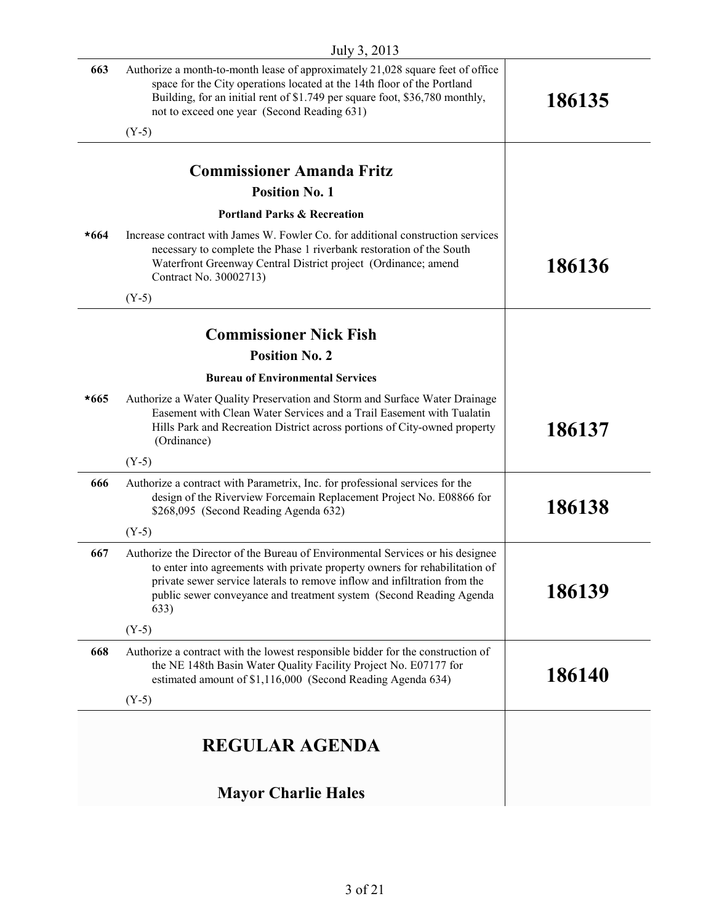|        | $JUIV$ 3, $2013$                                                                                                                                                                                                                                                                                                          |        |
|--------|---------------------------------------------------------------------------------------------------------------------------------------------------------------------------------------------------------------------------------------------------------------------------------------------------------------------------|--------|
| 663    | Authorize a month-to-month lease of approximately 21,028 square feet of office<br>space for the City operations located at the 14th floor of the Portland<br>Building, for an initial rent of \$1.749 per square foot, \$36,780 monthly,<br>not to exceed one year (Second Reading 631)                                   | 186135 |
|        | $(Y-5)$                                                                                                                                                                                                                                                                                                                   |        |
|        | <b>Commissioner Amanda Fritz</b>                                                                                                                                                                                                                                                                                          |        |
|        | <b>Position No. 1</b>                                                                                                                                                                                                                                                                                                     |        |
|        | <b>Portland Parks &amp; Recreation</b>                                                                                                                                                                                                                                                                                    |        |
| $*664$ | Increase contract with James W. Fowler Co. for additional construction services<br>necessary to complete the Phase 1 riverbank restoration of the South<br>Waterfront Greenway Central District project (Ordinance; amend<br>Contract No. 30002713)                                                                       | 186136 |
|        | $(Y-5)$                                                                                                                                                                                                                                                                                                                   |        |
|        | <b>Commissioner Nick Fish</b>                                                                                                                                                                                                                                                                                             |        |
|        | <b>Position No. 2</b>                                                                                                                                                                                                                                                                                                     |        |
|        | <b>Bureau of Environmental Services</b>                                                                                                                                                                                                                                                                                   |        |
| $*665$ | Authorize a Water Quality Preservation and Storm and Surface Water Drainage<br>Easement with Clean Water Services and a Trail Easement with Tualatin<br>Hills Park and Recreation District across portions of City-owned property<br>(Ordinance)                                                                          | 186137 |
|        | $(Y-5)$                                                                                                                                                                                                                                                                                                                   |        |
| 666    | Authorize a contract with Parametrix, Inc. for professional services for the<br>design of the Riverview Forcemain Replacement Project No. E08866 for<br>\$268,095 (Second Reading Agenda 632)                                                                                                                             | 186138 |
|        | $(Y-5)$                                                                                                                                                                                                                                                                                                                   |        |
| 667    | Authorize the Director of the Bureau of Environmental Services or his designee<br>to enter into agreements with private property owners for rehabilitation of<br>private sewer service laterals to remove inflow and infiltration from the<br>public sewer conveyance and treatment system (Second Reading Agenda<br>633) | 186139 |
|        | $(Y-5)$                                                                                                                                                                                                                                                                                                                   |        |
| 668    | Authorize a contract with the lowest responsible bidder for the construction of<br>the NE 148th Basin Water Quality Facility Project No. E07177 for<br>estimated amount of \$1,116,000 (Second Reading Agenda 634)                                                                                                        | 186140 |
|        | $(Y-5)$                                                                                                                                                                                                                                                                                                                   |        |
|        | <b>REGULAR AGENDA</b>                                                                                                                                                                                                                                                                                                     |        |
|        | <b>Mayor Charlie Hales</b>                                                                                                                                                                                                                                                                                                |        |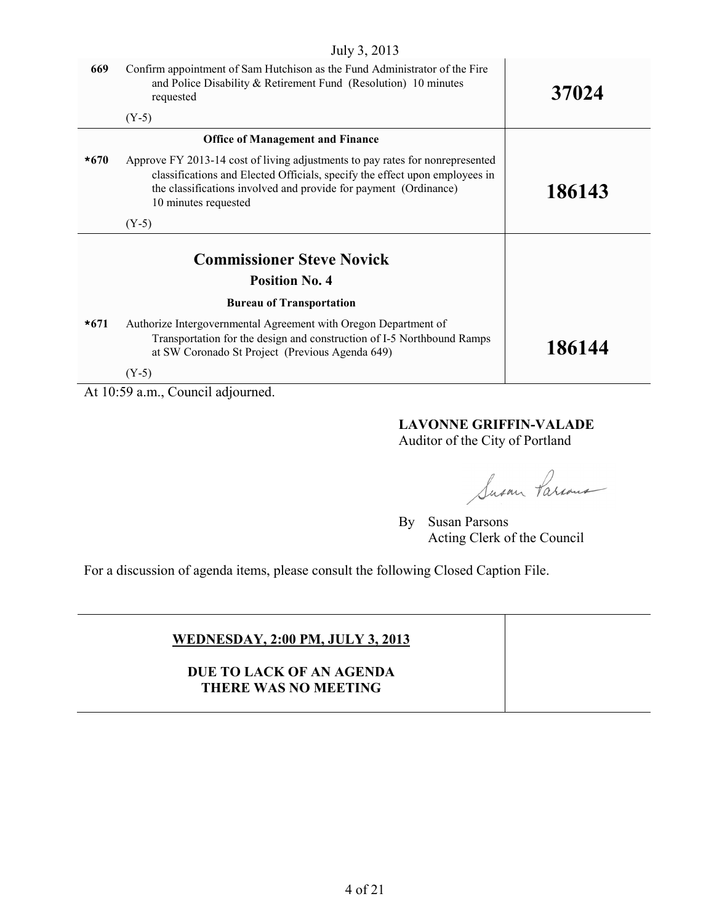| July 3, 2013 |                                                                                                                                                                                                                                                          |        |
|--------------|----------------------------------------------------------------------------------------------------------------------------------------------------------------------------------------------------------------------------------------------------------|--------|
| 669          | Confirm appointment of Sam Hutchison as the Fund Administrator of the Fire<br>and Police Disability & Retirement Fund (Resolution) 10 minutes<br>requested                                                                                               | 37024  |
|              | $(Y-5)$                                                                                                                                                                                                                                                  |        |
|              | <b>Office of Management and Finance</b>                                                                                                                                                                                                                  |        |
| $*670$       | Approve FY 2013-14 cost of living adjustments to pay rates for nonrepresented<br>classifications and Elected Officials, specify the effect upon employees in<br>the classifications involved and provide for payment (Ordinance)<br>10 minutes requested | 186143 |
|              | $(Y-5)$                                                                                                                                                                                                                                                  |        |
|              | <b>Commissioner Steve Novick</b><br><b>Position No. 4</b>                                                                                                                                                                                                |        |
|              |                                                                                                                                                                                                                                                          |        |
|              | <b>Bureau of Transportation</b>                                                                                                                                                                                                                          |        |
| $*671$       | Authorize Intergovernmental Agreement with Oregon Department of<br>Transportation for the design and construction of I-5 Northbound Ramps<br>at SW Coronado St Project (Previous Agenda 649)                                                             | 186144 |
|              | $(Y-5)$                                                                                                                                                                                                                                                  |        |

At 10:59 a.m., Council adjourned.

# **LAVONNE GRIFFIN-VALADE**

Auditor of the City of Portland

Susan Parcous

By Susan Parsons Acting Clerk of the Council

For a discussion of agenda items, please consult the following Closed Caption File.

# **WEDNESDAY, 2:00 PM, JULY 3, 2013**

**DUE TO LACK OF AN AGENDA THERE WAS NO MEETING**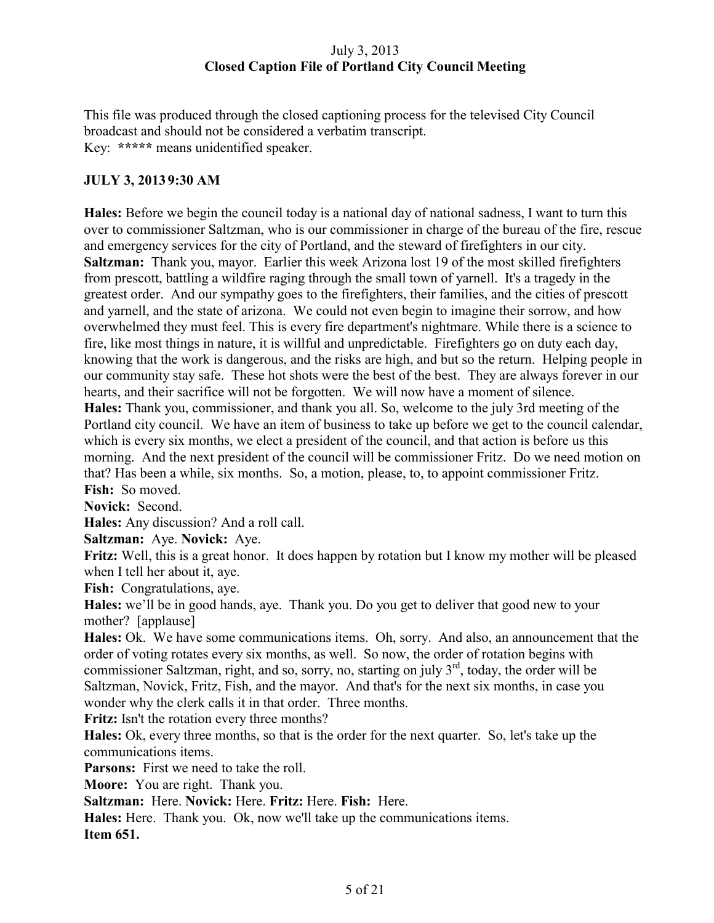## July 3, 2013 **Closed Caption File of Portland City Council Meeting**

This file was produced through the closed captioning process for the televised City Council broadcast and should not be considered a verbatim transcript. Key: **\*\*\*\*\*** means unidentified speaker.

# **JULY 3, 2013 9:30 AM**

**Hales:** Before we begin the council today is a national day of national sadness, I want to turn this over to commissioner Saltzman, who is our commissioner in charge of the bureau of the fire, rescue and emergency services for the city of Portland, and the steward of firefighters in our city. **Saltzman:** Thank you, mayor. Earlier this week Arizona lost 19 of the most skilled firefighters from prescott, battling a wildfire raging through the small town of yarnell. It's a tragedy in the greatest order. And our sympathy goes to the firefighters, their families, and the cities of prescott and yarnell, and the state of arizona. We could not even begin to imagine their sorrow, and how overwhelmed they must feel. This is every fire department's nightmare. While there is a science to fire, like most things in nature, it is willful and unpredictable. Firefighters go on duty each day, knowing that the work is dangerous, and the risks are high, and but so the return. Helping people in our community stay safe. These hot shots were the best of the best. They are always forever in our hearts, and their sacrifice will not be forgotten. We will now have a moment of silence. **Hales:** Thank you, commissioner, and thank you all. So, welcome to the july 3rd meeting of the Portland city council. We have an item of business to take up before we get to the council calendar, which is every six months, we elect a president of the council, and that action is before us this morning. And the next president of the council will be commissioner Fritz. Do we need motion on that? Has been a while, six months. So, a motion, please, to, to appoint commissioner Fritz. **Fish:** So moved.

**Novick:** Second.

**Hales:** Any discussion? And a roll call.

**Saltzman:** Aye. **Novick:** Aye.

**Fritz:** Well, this is a great honor. It does happen by rotation but I know my mother will be pleased when I tell her about it, aye.

**Fish:** Congratulations, aye.

**Hales:** we'll be in good hands, aye. Thank you. Do you get to deliver that good new to your mother? [applause]

**Hales:** Ok. We have some communications items. Oh, sorry. And also, an announcement that the order of voting rotates every six months, as well. So now, the order of rotation begins with commissioner Saltzman, right, and so, sorry, no, starting on july  $3<sup>rd</sup>$ , today, the order will be Saltzman, Novick, Fritz, Fish, and the mayor. And that's for the next six months, in case you wonder why the clerk calls it in that order. Three months.

**Fritz:** Isn't the rotation every three months?

**Hales:** Ok, every three months, so that is the order for the next quarter. So, let's take up the communications items.

**Parsons:** First we need to take the roll.

**Moore:** You are right. Thank you.

**Saltzman:** Here. **Novick:** Here. **Fritz:** Here. **Fish:** Here.

**Hales:** Here. Thank you. Ok, now we'll take up the communications items.

**Item 651.**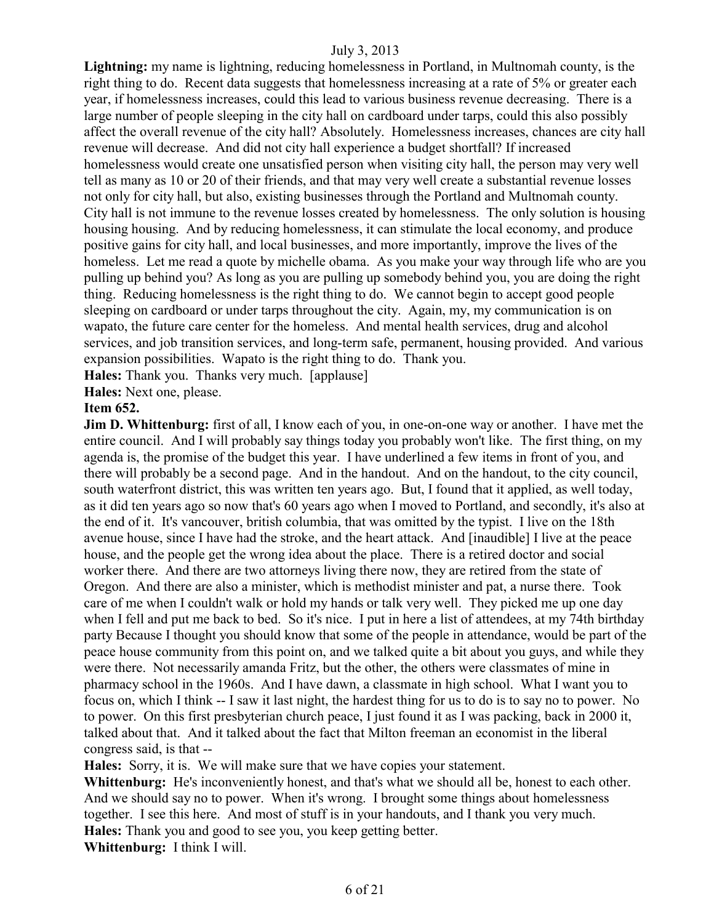**Lightning:** my name is lightning, reducing homelessness in Portland, in Multnomah county, is the right thing to do. Recent data suggests that homelessness increasing at a rate of 5% or greater each year, if homelessness increases, could this lead to various business revenue decreasing. There is a large number of people sleeping in the city hall on cardboard under tarps, could this also possibly affect the overall revenue of the city hall? Absolutely. Homelessness increases, chances are city hall revenue will decrease. And did not city hall experience a budget shortfall? If increased homelessness would create one unsatisfied person when visiting city hall, the person may very well tell as many as 10 or 20 of their friends, and that may very well create a substantial revenue losses not only for city hall, but also, existing businesses through the Portland and Multnomah county. City hall is not immune to the revenue losses created by homelessness. The only solution is housing housing housing. And by reducing homelessness, it can stimulate the local economy, and produce positive gains for city hall, and local businesses, and more importantly, improve the lives of the homeless. Let me read a quote by michelle obama. As you make your way through life who are you pulling up behind you? As long as you are pulling up somebody behind you, you are doing the right thing. Reducing homelessness is the right thing to do. We cannot begin to accept good people sleeping on cardboard or under tarps throughout the city. Again, my, my communication is on wapato, the future care center for the homeless. And mental health services, drug and alcohol services, and job transition services, and long-term safe, permanent, housing provided. And various expansion possibilities. Wapato is the right thing to do. Thank you.

**Hales:** Thank you. Thanks very much. [applause]

**Hales:** Next one, please.

#### **Item 652.**

**Jim D. Whittenburg:** first of all, I know each of you, in one-on-one way or another. I have met the entire council. And I will probably say things today you probably won't like. The first thing, on my agenda is, the promise of the budget this year. I have underlined a few items in front of you, and there will probably be a second page. And in the handout. And on the handout, to the city council, south waterfront district, this was written ten years ago. But, I found that it applied, as well today, as it did ten years ago so now that's 60 years ago when I moved to Portland, and secondly, it's also at the end of it. It's vancouver, british columbia, that was omitted by the typist. I live on the 18th avenue house, since I have had the stroke, and the heart attack. And [inaudible] I live at the peace house, and the people get the wrong idea about the place. There is a retired doctor and social worker there. And there are two attorneys living there now, they are retired from the state of Oregon. And there are also a minister, which is methodist minister and pat, a nurse there. Took care of me when I couldn't walk or hold my hands or talk very well. They picked me up one day when I fell and put me back to bed. So it's nice. I put in here a list of attendees, at my 74th birthday party Because I thought you should know that some of the people in attendance, would be part of the peace house community from this point on, and we talked quite a bit about you guys, and while they were there. Not necessarily amanda Fritz, but the other, the others were classmates of mine in pharmacy school in the 1960s. And I have dawn, a classmate in high school. What I want you to focus on, which I think -- I saw it last night, the hardest thing for us to do is to say no to power. No to power. On this first presbyterian church peace, I just found it as I was packing, back in 2000 it, talked about that. And it talked about the fact that Milton freeman an economist in the liberal congress said, is that --

**Hales:** Sorry, it is. We will make sure that we have copies your statement. **Whittenburg:** He's inconveniently honest, and that's what we should all be, honest to each other. And we should say no to power. When it's wrong. I brought some things about homelessness together. I see this here. And most of stuff is in your handouts, and I thank you very much. **Hales:** Thank you and good to see you, you keep getting better. **Whittenburg:** I think I will.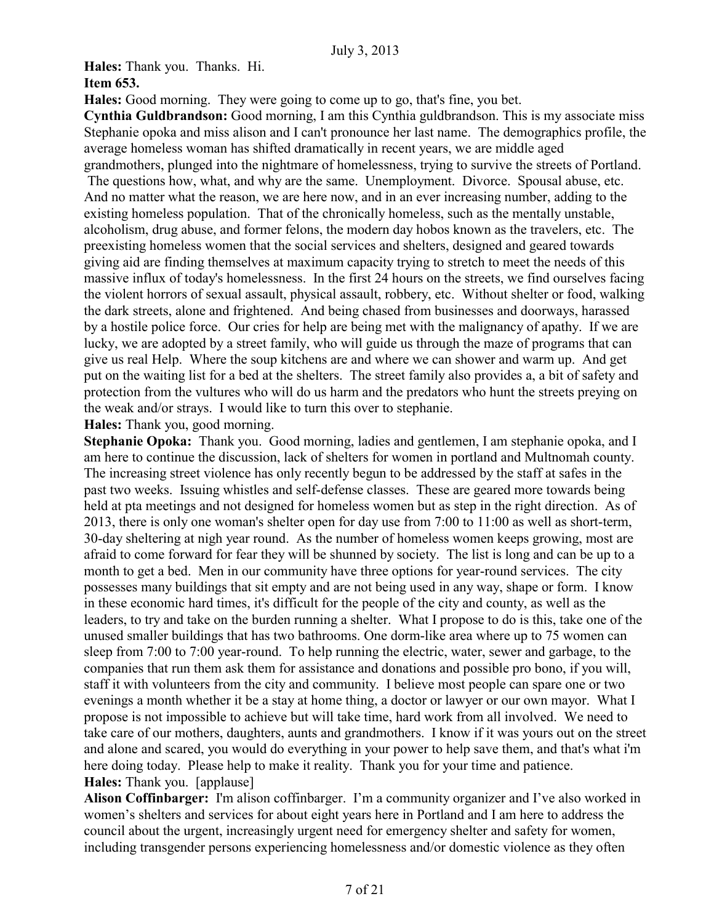**Hales:** Thank you. Thanks. Hi. **Item 653.**

**Hales:** Good morning. They were going to come up to go, that's fine, you bet.

**Cynthia Guldbrandson:** Good morning, I am this Cynthia guldbrandson. This is my associate miss Stephanie opoka and miss alison and I can't pronounce her last name. The demographics profile, the average homeless woman has shifted dramatically in recent years, we are middle aged grandmothers, plunged into the nightmare of homelessness, trying to survive the streets of Portland.

The questions how, what, and why are the same. Unemployment. Divorce. Spousal abuse, etc. And no matter what the reason, we are here now, and in an ever increasing number, adding to the existing homeless population. That of the chronically homeless, such as the mentally unstable, alcoholism, drug abuse, and former felons, the modern day hobos known as the travelers, etc. The preexisting homeless women that the social services and shelters, designed and geared towards giving aid are finding themselves at maximum capacity trying to stretch to meet the needs of this massive influx of today's homelessness. In the first 24 hours on the streets, we find ourselves facing the violent horrors of sexual assault, physical assault, robbery, etc. Without shelter or food, walking the dark streets, alone and frightened. And being chased from businesses and doorways, harassed by a hostile police force. Our cries for help are being met with the malignancy of apathy. If we are lucky, we are adopted by a street family, who will guide us through the maze of programs that can give us real Help. Where the soup kitchens are and where we can shower and warm up. And get put on the waiting list for a bed at the shelters. The street family also provides a, a bit of safety and protection from the vultures who will do us harm and the predators who hunt the streets preying on the weak and/or strays. I would like to turn this over to stephanie.

**Hales:** Thank you, good morning.

**Stephanie Opoka:** Thank you. Good morning, ladies and gentlemen, I am stephanie opoka, and I am here to continue the discussion, lack of shelters for women in portland and Multnomah county. The increasing street violence has only recently begun to be addressed by the staff at safes in the past two weeks. Issuing whistles and self-defense classes. These are geared more towards being held at pta meetings and not designed for homeless women but as step in the right direction. As of 2013, there is only one woman's shelter open for day use from 7:00 to 11:00 as well as short-term, 30-day sheltering at nigh year round. As the number of homeless women keeps growing, most are afraid to come forward for fear they will be shunned by society. The list is long and can be up to a month to get a bed. Men in our community have three options for year-round services. The city possesses many buildings that sit empty and are not being used in any way, shape or form. I know in these economic hard times, it's difficult for the people of the city and county, as well as the leaders, to try and take on the burden running a shelter. What I propose to do is this, take one of the unused smaller buildings that has two bathrooms. One dorm-like area where up to 75 women can sleep from 7:00 to 7:00 year-round. To help running the electric, water, sewer and garbage, to the companies that run them ask them for assistance and donations and possible pro bono, if you will, staff it with volunteers from the city and community. I believe most people can spare one or two evenings a month whether it be a stay at home thing, a doctor or lawyer or our own mayor. What I propose is not impossible to achieve but will take time, hard work from all involved. We need to take care of our mothers, daughters, aunts and grandmothers. I know if it was yours out on the street and alone and scared, you would do everything in your power to help save them, and that's what i'm here doing today. Please help to make it reality. Thank you for your time and patience. **Hales:** Thank you. [applause]

**Alison Coffinbarger:** I'm alison coffinbarger. I'm a community organizer and I've also worked in women's shelters and services for about eight years here in Portland and I am here to address the council about the urgent, increasingly urgent need for emergency shelter and safety for women, including transgender persons experiencing homelessness and/or domestic violence as they often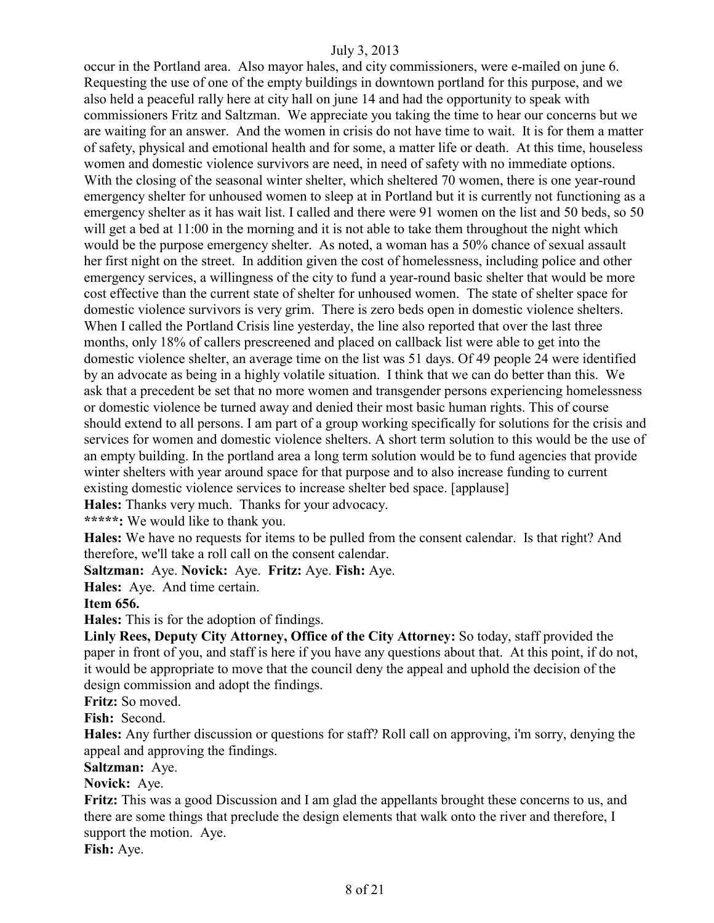occur in the Portland area. Also mayor hales, and city commissioners, were e-mailed on june 6. Requesting the use of one of the empty buildings in downtown portland for this purpose, and we also held a peaceful rally here at city hall on june 14 and had the opportunity to speak with commissioners Fritz and Saltzman. We appreciate you taking the time to hear our concerns but we are waiting for an answer. And the women in crisis do not have time to wait. It is for them a matter of safety, physical and emotional health and for some, a matter life or death. At this time, houseless women and domestic violence survivors are need, in need of safety with no immediate options. With the closing of the seasonal winter shelter, which sheltered 70 women, there is one year-round emergency shelter for unhoused women to sleep at in Portland but it is currently not functioning as a emergency shelter as it has wait list. I called and there were 91 women on the list and 50 beds, so 50 will get a bed at  $11:00$  in the morning and it is not able to take them throughout the night which would be the purpose emergency shelter. As noted, a woman has a 50% chance of sexual assault her first night on the street. In addition given the cost of homelessness, including police and other emergency services, a willingness of the city to fund a year-round basic shelter that would be more cost effective than the current state of shelter for unhoused women. The state of shelter space for domestic violence survivors is very grim. There is zero beds open in domestic violence shelters. When I called the Portland Crisis line yesterday, the line also reported that over the last three months, only 18% of callers prescreened and placed on callback list were able to get into the domestic violence shelter, an average time on the list was 51 days. Of 49 people 24 were identified by an advocate as being in a highly volatile situation. I think that we can do better than this. We ask that a precedent be set that no more women and transgender persons experiencing homelessness or domestic violence be turned away and denied their most basic human rights. This of course should extend to all persons. I am part of a group working specifically for solutions for the crisis and services for women and domestic violence shelters. A short term solution to this would be the use of an empty building. In the portland area a long term solution would be to fund agencies that provide winter shelters with year around space for that purpose and to also increase funding to current existing domestic violence services to increase shelter bed space. [applause]

**Hales:** Thanks very much. Thanks for your advocacy.

**\*\*\*\*\*:** We would like to thank you.

**Hales:** We have no requests for items to be pulled from the consent calendar. Is that right? And therefore, we'll take a roll call on the consent calendar.

**Saltzman:** Aye. **Novick:** Aye. **Fritz:** Aye. **Fish:** Aye.

**Hales:** Aye. And time certain.

**Item 656.**

**Hales:** This is for the adoption of findings.

**Linly Rees, Deputy City Attorney, Office of the City Attorney:** So today, staff provided the paper in front of you, and staff is here if you have any questions about that. At this point, if do not, it would be appropriate to move that the council deny the appeal and uphold the decision of the design commission and adopt the findings.

**Fritz:** So moved.

**Fish:** Second.

**Hales:** Any further discussion or questions for staff? Roll call on approving, i'm sorry, denying the appeal and approving the findings.

**Saltzman:** Aye.

**Novick:** Aye.

**Fritz:** This was a good Discussion and I am glad the appellants brought these concerns to us, and there are some things that preclude the design elements that walk onto the river and therefore, I support the motion. Aye.

**Fish:** Aye.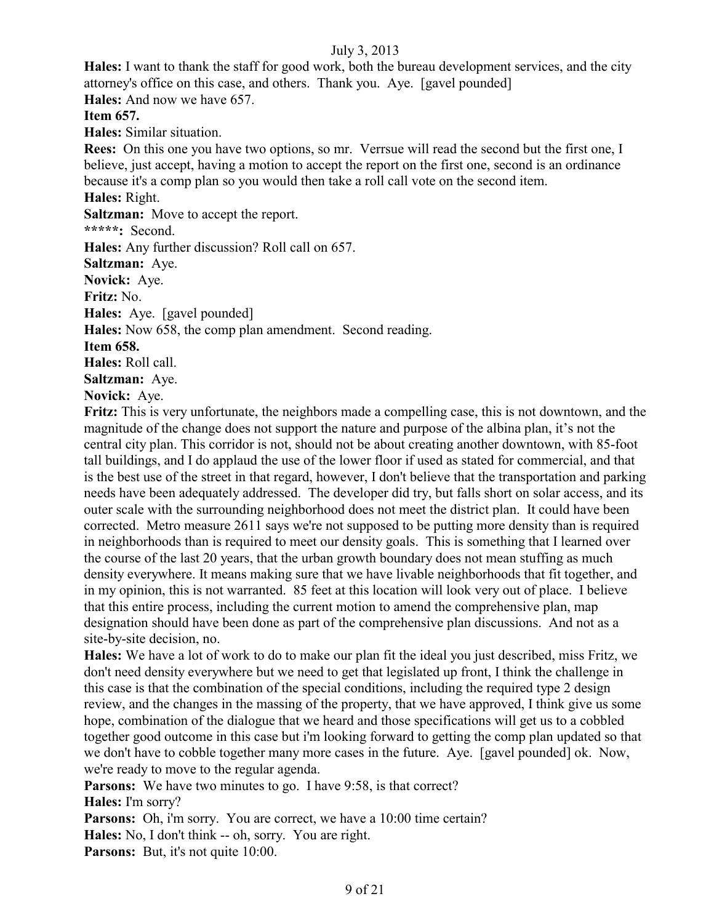**Hales:** I want to thank the staff for good work, both the bureau development services, and the city attorney's office on this case, and others. Thank you. Aye. [gavel pounded] **Hales:** And now we have 657.

**Item 657.**

**Hales:** Similar situation.

**Rees:** On this one you have two options, so mr. Verrsue will read the second but the first one, I believe, just accept, having a motion to accept the report on the first one, second is an ordinance because it's a comp plan so you would then take a roll call vote on the second item.

**Hales:** Right.

**Saltzman:** Move to accept the report.

**\*\*\*\*\*:** Second.

**Hales:** Any further discussion? Roll call on 657.

**Saltzman:** Aye.

**Novick:** Aye.

**Fritz:** No.

**Hales:** Aye. [gavel pounded]

**Hales:** Now 658, the comp plan amendment. Second reading.

**Item 658.**

**Hales:** Roll call.

**Saltzman:** Aye.

**Novick:** Aye.

**Fritz:** This is very unfortunate, the neighbors made a compelling case, this is not downtown, and the magnitude of the change does not support the nature and purpose of the albina plan, it's not the central city plan. This corridor is not, should not be about creating another downtown, with 85-foot tall buildings, and I do applaud the use of the lower floor if used as stated for commercial, and that is the best use of the street in that regard, however, I don't believe that the transportation and parking needs have been adequately addressed. The developer did try, but falls short on solar access, and its outer scale with the surrounding neighborhood does not meet the district plan. It could have been corrected. Metro measure 2611 says we're not supposed to be putting more density than is required in neighborhoods than is required to meet our density goals. This is something that I learned over the course of the last 20 years, that the urban growth boundary does not mean stuffing as much density everywhere. It means making sure that we have livable neighborhoods that fit together, and in my opinion, this is not warranted. 85 feet at this location will look very out of place. I believe that this entire process, including the current motion to amend the comprehensive plan, map designation should have been done as part of the comprehensive plan discussions. And not as a site-by-site decision, no.

**Hales:** We have a lot of work to do to make our plan fit the ideal you just described, miss Fritz, we don't need density everywhere but we need to get that legislated up front, I think the challenge in this case is that the combination of the special conditions, including the required type 2 design review, and the changes in the massing of the property, that we have approved, I think give us some hope, combination of the dialogue that we heard and those specifications will get us to a cobbled together good outcome in this case but i'm looking forward to getting the comp plan updated so that we don't have to cobble together many more cases in the future. Aye. [gavel pounded] ok. Now, we're ready to move to the regular agenda.

**Parsons:** We have two minutes to go. I have 9:58, is that correct?

**Hales:** I'm sorry?

**Parsons:** Oh, i'm sorry. You are correct, we have a 10:00 time certain?

**Hales:** No, I don't think -- oh, sorry. You are right.

Parsons: But, it's not quite 10:00.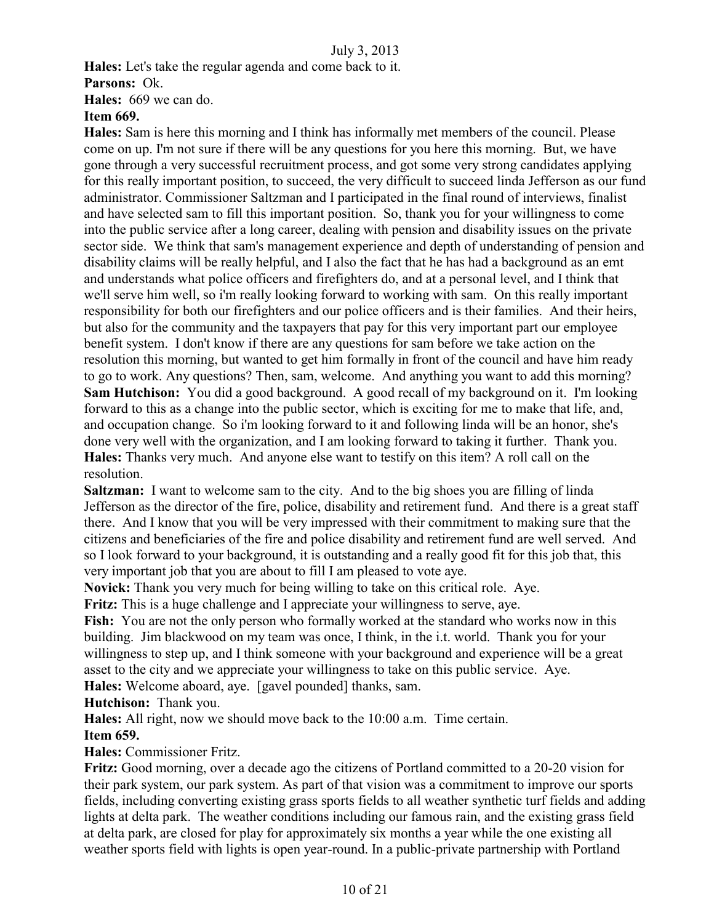**Hales:** Let's take the regular agenda and come back to it. **Parsons:** Ok. **Hales:** 669 we can do.

# **Item 669.**

**Hales:** Sam is here this morning and I think has informally met members of the council. Please come on up. I'm not sure if there will be any questions for you here this morning. But, we have gone through a very successful recruitment process, and got some very strong candidates applying for this really important position, to succeed, the very difficult to succeed linda Jefferson as our fund administrator. Commissioner Saltzman and I participated in the final round of interviews, finalist and have selected sam to fill this important position. So, thank you for your willingness to come into the public service after a long career, dealing with pension and disability issues on the private sector side. We think that sam's management experience and depth of understanding of pension and disability claims will be really helpful, and I also the fact that he has had a background as an emt and understands what police officers and firefighters do, and at a personal level, and I think that we'll serve him well, so i'm really looking forward to working with sam. On this really important responsibility for both our firefighters and our police officers and is their families. And their heirs, but also for the community and the taxpayers that pay for this very important part our employee benefit system. I don't know if there are any questions for sam before we take action on the resolution this morning, but wanted to get him formally in front of the council and have him ready to go to work. Any questions? Then, sam, welcome. And anything you want to add this morning? **Sam Hutchison:** You did a good background. A good recall of my background on it. I'm looking forward to this as a change into the public sector, which is exciting for me to make that life, and, and occupation change. So i'm looking forward to it and following linda will be an honor, she's done very well with the organization, and I am looking forward to taking it further. Thank you. **Hales:** Thanks very much. And anyone else want to testify on this item? A roll call on the resolution.

**Saltzman:** I want to welcome sam to the city. And to the big shoes you are filling of linda Jefferson as the director of the fire, police, disability and retirement fund. And there is a great staff there. And I know that you will be very impressed with their commitment to making sure that the citizens and beneficiaries of the fire and police disability and retirement fund are well served. And so I look forward to your background, it is outstanding and a really good fit for this job that, this very important job that you are about to fill I am pleased to vote aye.

**Novick:** Thank you very much for being willing to take on this critical role. Aye.

**Fritz:** This is a huge challenge and I appreciate your willingness to serve, aye.

Fish: You are not the only person who formally worked at the standard who works now in this building. Jim blackwood on my team was once, I think, in the i.t. world. Thank you for your willingness to step up, and I think someone with your background and experience will be a great asset to the city and we appreciate your willingness to take on this public service. Aye. **Hales:** Welcome aboard, aye. [gavel pounded] thanks, sam.

**Hutchison:** Thank you.

**Hales:** All right, now we should move back to the 10:00 a.m. Time certain.

**Item 659.**

**Hales:** Commissioner Fritz.

**Fritz:** Good morning, over a decade ago the citizens of Portland committed to a 20-20 vision for their park system, our park system. As part of that vision was a commitment to improve our sports fields, including converting existing grass sports fields to all weather synthetic turf fields and adding lights at delta park. The weather conditions including our famous rain, and the existing grass field at delta park, are closed for play for approximately six months a year while the one existing all weather sports field with lights is open year-round. In a public-private partnership with Portland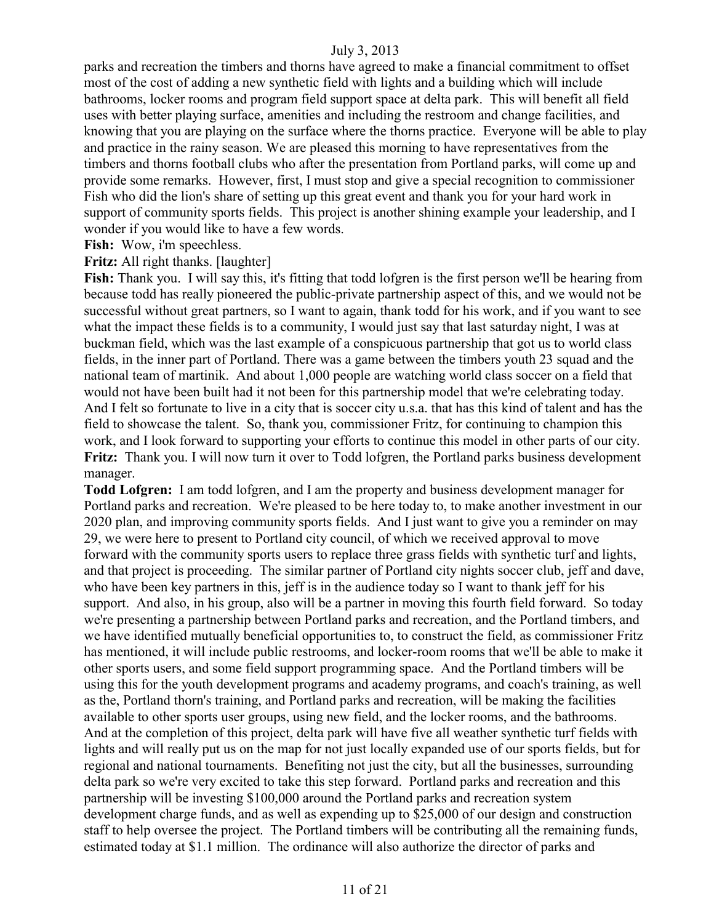parks and recreation the timbers and thorns have agreed to make a financial commitment to offset most of the cost of adding a new synthetic field with lights and a building which will include bathrooms, locker rooms and program field support space at delta park. This will benefit all field uses with better playing surface, amenities and including the restroom and change facilities, and knowing that you are playing on the surface where the thorns practice. Everyone will be able to play and practice in the rainy season. We are pleased this morning to have representatives from the timbers and thorns football clubs who after the presentation from Portland parks, will come up and provide some remarks. However, first, I must stop and give a special recognition to commissioner Fish who did the lion's share of setting up this great event and thank you for your hard work in support of community sports fields. This project is another shining example your leadership, and I wonder if you would like to have a few words.

**Fish:** Wow, i'm speechless.

#### **Fritz:** All right thanks. [laughter]

**Fish:** Thank you. I will say this, it's fitting that todd lofgren is the first person we'll be hearing from because todd has really pioneered the public-private partnership aspect of this, and we would not be successful without great partners, so I want to again, thank todd for his work, and if you want to see what the impact these fields is to a community, I would just say that last saturday night, I was at buckman field, which was the last example of a conspicuous partnership that got us to world class fields, in the inner part of Portland. There was a game between the timbers youth 23 squad and the national team of martinik. And about 1,000 people are watching world class soccer on a field that would not have been built had it not been for this partnership model that we're celebrating today. And I felt so fortunate to live in a city that is soccer city u.s.a. that has this kind of talent and has the field to showcase the talent. So, thank you, commissioner Fritz, for continuing to champion this work, and I look forward to supporting your efforts to continue this model in other parts of our city. **Fritz:** Thank you. I will now turn it over to Todd lofgren, the Portland parks business development manager.

**Todd Lofgren:** I am todd lofgren, and I am the property and business development manager for Portland parks and recreation. We're pleased to be here today to, to make another investment in our 2020 plan, and improving community sports fields. And I just want to give you a reminder on may 29, we were here to present to Portland city council, of which we received approval to move forward with the community sports users to replace three grass fields with synthetic turf and lights, and that project is proceeding. The similar partner of Portland city nights soccer club, jeff and dave, who have been key partners in this, jeff is in the audience today so I want to thank jeff for his support. And also, in his group, also will be a partner in moving this fourth field forward. So today we're presenting a partnership between Portland parks and recreation, and the Portland timbers, and we have identified mutually beneficial opportunities to, to construct the field, as commissioner Fritz has mentioned, it will include public restrooms, and locker-room rooms that we'll be able to make it other sports users, and some field support programming space. And the Portland timbers will be using this for the youth development programs and academy programs, and coach's training, as well as the, Portland thorn's training, and Portland parks and recreation, will be making the facilities available to other sports user groups, using new field, and the locker rooms, and the bathrooms. And at the completion of this project, delta park will have five all weather synthetic turf fields with lights and will really put us on the map for not just locally expanded use of our sports fields, but for regional and national tournaments. Benefiting not just the city, but all the businesses, surrounding delta park so we're very excited to take this step forward. Portland parks and recreation and this partnership will be investing \$100,000 around the Portland parks and recreation system development charge funds, and as well as expending up to \$25,000 of our design and construction staff to help oversee the project. The Portland timbers will be contributing all the remaining funds, estimated today at \$1.1 million. The ordinance will also authorize the director of parks and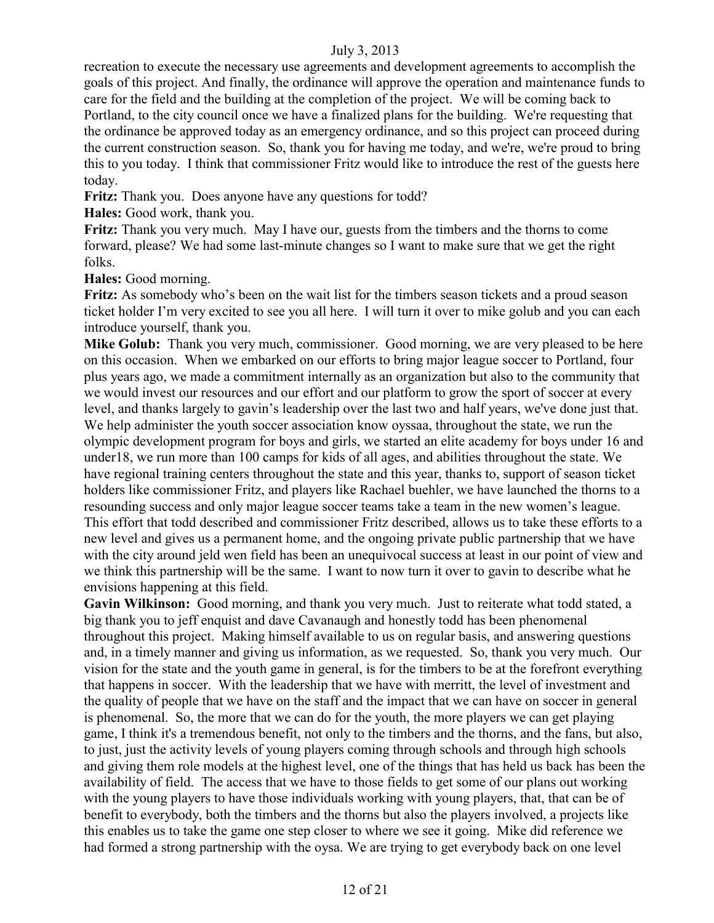recreation to execute the necessary use agreements and development agreements to accomplish the goals of this project. And finally, the ordinance will approve the operation and maintenance funds to care for the field and the building at the completion of the project. We will be coming back to Portland, to the city council once we have a finalized plans for the building. We're requesting that the ordinance be approved today as an emergency ordinance, and so this project can proceed during the current construction season. So, thank you for having me today, and we're, we're proud to bring this to you today. I think that commissioner Fritz would like to introduce the rest of the guests here today.

**Fritz:** Thank you. Does anyone have any questions for todd?

**Hales:** Good work, thank you.

**Fritz:** Thank you very much. May I have our, guests from the timbers and the thorns to come forward, please? We had some last-minute changes so I want to make sure that we get the right folks.

**Hales:** Good morning.

**Fritz:** As somebody who's been on the wait list for the timbers season tickets and a proud season ticket holder I'm very excited to see you all here. I will turn it over to mike golub and you can each introduce yourself, thank you.

**Mike Golub:** Thank you very much, commissioner. Good morning, we are very pleased to be here on this occasion. When we embarked on our efforts to bring major league soccer to Portland, four plus years ago, we made a commitment internally as an organization but also to the community that we would invest our resources and our effort and our platform to grow the sport of soccer at every level, and thanks largely to gavin's leadership over the last two and half years, we've done just that. We help administer the youth soccer association know oyssaa, throughout the state, we run the olympic development program for boys and girls, we started an elite academy for boys under 16 and under18, we run more than 100 camps for kids of all ages, and abilities throughout the state. We have regional training centers throughout the state and this year, thanks to, support of season ticket holders like commissioner Fritz, and players like Rachael buehler, we have launched the thorns to a resounding success and only major league soccer teams take a team in the new women's league. This effort that todd described and commissioner Fritz described, allows us to take these efforts to a new level and gives us a permanent home, and the ongoing private public partnership that we have with the city around jeld wen field has been an unequivocal success at least in our point of view and we think this partnership will be the same. I want to now turn it over to gavin to describe what he envisions happening at this field.

**Gavin Wilkinson:** Good morning, and thank you very much. Just to reiterate what todd stated, a big thank you to jeff enquist and dave Cavanaugh and honestly todd has been phenomenal throughout this project. Making himself available to us on regular basis, and answering questions and, in a timely manner and giving us information, as we requested. So, thank you very much. Our vision for the state and the youth game in general, is for the timbers to be at the forefront everything that happens in soccer. With the leadership that we have with merritt, the level of investment and the quality of people that we have on the staff and the impact that we can have on soccer in general is phenomenal. So, the more that we can do for the youth, the more players we can get playing game, I think it's a tremendous benefit, not only to the timbers and the thorns, and the fans, but also, to just, just the activity levels of young players coming through schools and through high schools and giving them role models at the highest level, one of the things that has held us back has been the availability of field. The access that we have to those fields to get some of our plans out working with the young players to have those individuals working with young players, that, that can be of benefit to everybody, both the timbers and the thorns but also the players involved, a projects like this enables us to take the game one step closer to where we see it going. Mike did reference we had formed a strong partnership with the oysa. We are trying to get everybody back on one level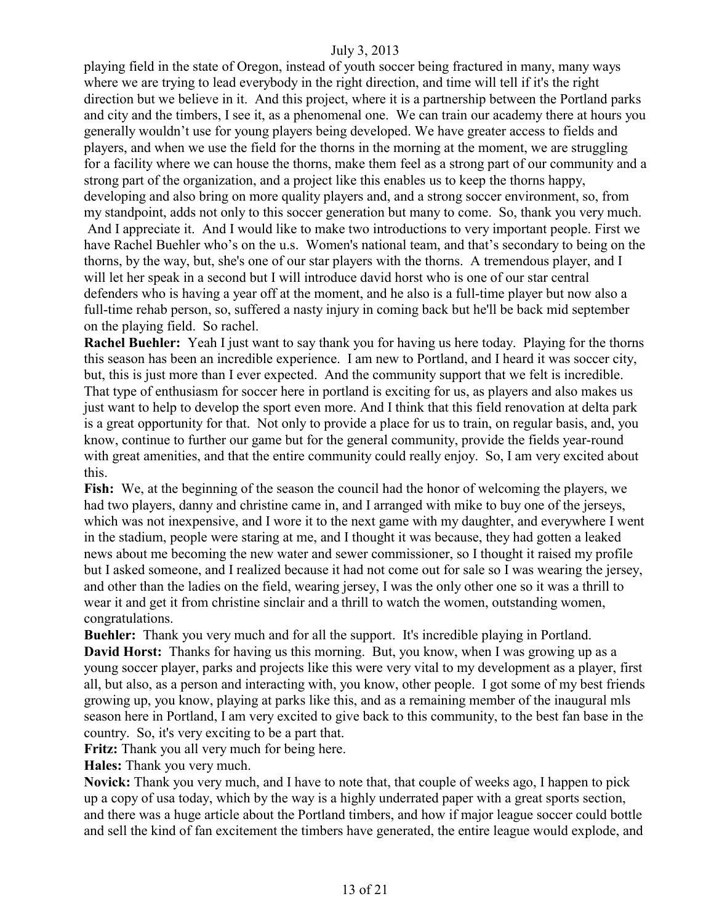playing field in the state of Oregon, instead of youth soccer being fractured in many, many ways where we are trying to lead everybody in the right direction, and time will tell if it's the right direction but we believe in it. And this project, where it is a partnership between the Portland parks and city and the timbers, I see it, as a phenomenal one. We can train our academy there at hours you generally wouldn't use for young players being developed. We have greater access to fields and players, and when we use the field for the thorns in the morning at the moment, we are struggling for a facility where we can house the thorns, make them feel as a strong part of our community and a strong part of the organization, and a project like this enables us to keep the thorns happy, developing and also bring on more quality players and, and a strong soccer environment, so, from my standpoint, adds not only to this soccer generation but many to come. So, thank you very much. And I appreciate it. And I would like to make two introductions to very important people. First we have Rachel Buehler who's on the u.s. Women's national team, and that's secondary to being on the thorns, by the way, but, she's one of our star players with the thorns. A tremendous player, and I will let her speak in a second but I will introduce david horst who is one of our star central defenders who is having a year off at the moment, and he also is a full-time player but now also a full-time rehab person, so, suffered a nasty injury in coming back but he'll be back mid september on the playing field. So rachel.

**Rachel Buehler:** Yeah I just want to say thank you for having us here today. Playing for the thorns this season has been an incredible experience. I am new to Portland, and I heard it was soccer city, but, this is just more than I ever expected. And the community support that we felt is incredible. That type of enthusiasm for soccer here in portland is exciting for us, as players and also makes us just want to help to develop the sport even more. And I think that this field renovation at delta park is a great opportunity for that. Not only to provide a place for us to train, on regular basis, and, you know, continue to further our game but for the general community, provide the fields year-round with great amenities, and that the entire community could really enjoy. So, I am very excited about this.

**Fish:** We, at the beginning of the season the council had the honor of welcoming the players, we had two players, danny and christine came in, and I arranged with mike to buy one of the jerseys, which was not inexpensive, and I wore it to the next game with my daughter, and everywhere I went in the stadium, people were staring at me, and I thought it was because, they had gotten a leaked news about me becoming the new water and sewer commissioner, so I thought it raised my profile but I asked someone, and I realized because it had not come out for sale so I was wearing the jersey, and other than the ladies on the field, wearing jersey, I was the only other one so it was a thrill to wear it and get it from christine sinclair and a thrill to watch the women, outstanding women, congratulations.

**Buehler:** Thank you very much and for all the support. It's incredible playing in Portland. **David Horst:** Thanks for having us this morning. But, you know, when I was growing up as a young soccer player, parks and projects like this were very vital to my development as a player, first all, but also, as a person and interacting with, you know, other people. I got some of my best friends growing up, you know, playing at parks like this, and as a remaining member of the inaugural mls season here in Portland, I am very excited to give back to this community, to the best fan base in the country. So, it's very exciting to be a part that.

**Fritz:** Thank you all very much for being here.

**Hales:** Thank you very much.

**Novick:** Thank you very much, and I have to note that, that couple of weeks ago, I happen to pick up a copy of usa today, which by the way is a highly underrated paper with a great sports section, and there was a huge article about the Portland timbers, and how if major league soccer could bottle and sell the kind of fan excitement the timbers have generated, the entire league would explode, and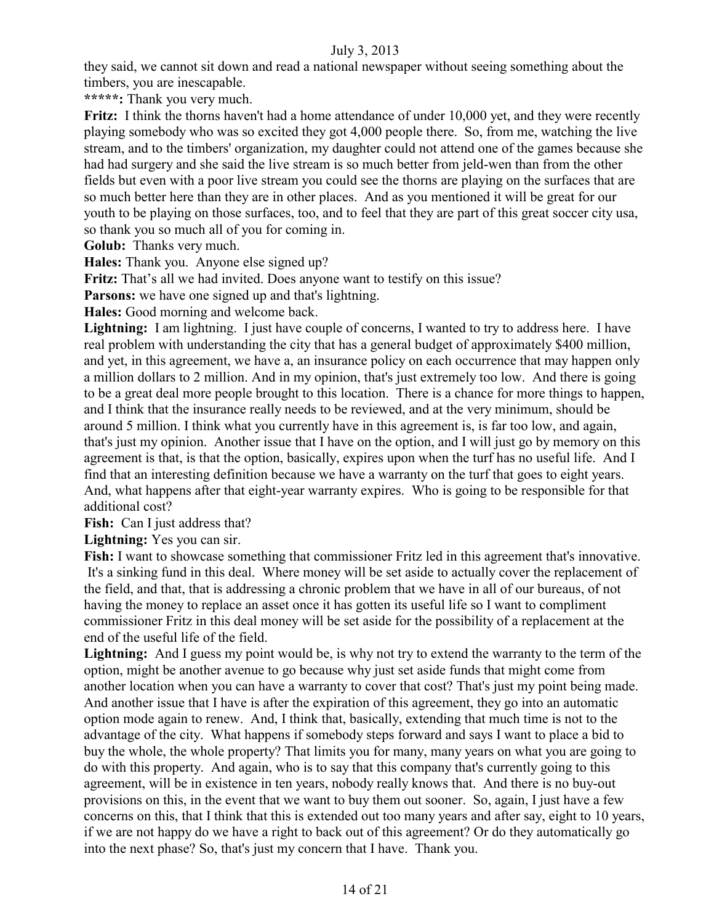they said, we cannot sit down and read a national newspaper without seeing something about the timbers, you are inescapable.

**\*\*\*\*\*:** Thank you very much.

**Fritz:** I think the thorns haven't had a home attendance of under 10,000 yet, and they were recently playing somebody who was so excited they got 4,000 people there. So, from me, watching the live stream, and to the timbers' organization, my daughter could not attend one of the games because she had had surgery and she said the live stream is so much better from jeld-wen than from the other fields but even with a poor live stream you could see the thorns are playing on the surfaces that are so much better here than they are in other places. And as you mentioned it will be great for our youth to be playing on those surfaces, too, and to feel that they are part of this great soccer city usa, so thank you so much all of you for coming in.

**Golub:** Thanks very much.

**Hales:** Thank you. Anyone else signed up?

**Fritz:** That's all we had invited. Does anyone want to testify on this issue?

**Parsons:** we have one signed up and that's lightning.

**Hales:** Good morning and welcome back.

**Lightning:** I am lightning. I just have couple of concerns, I wanted to try to address here. I have real problem with understanding the city that has a general budget of approximately \$400 million, and yet, in this agreement, we have a, an insurance policy on each occurrence that may happen only a million dollars to 2 million. And in my opinion, that's just extremely too low. And there is going to be a great deal more people brought to this location. There is a chance for more things to happen, and I think that the insurance really needs to be reviewed, and at the very minimum, should be around 5 million. I think what you currently have in this agreement is, is far too low, and again, that's just my opinion. Another issue that I have on the option, and I will just go by memory on this agreement is that, is that the option, basically, expires upon when the turf has no useful life. And I find that an interesting definition because we have a warranty on the turf that goes to eight years. And, what happens after that eight-year warranty expires. Who is going to be responsible for that additional cost?

**Fish:** Can I just address that?

**Lightning:** Yes you can sir.

**Fish:** I want to showcase something that commissioner Fritz led in this agreement that's innovative. It's a sinking fund in this deal. Where money will be set aside to actually cover the replacement of the field, and that, that is addressing a chronic problem that we have in all of our bureaus, of not having the money to replace an asset once it has gotten its useful life so I want to compliment commissioner Fritz in this deal money will be set aside for the possibility of a replacement at the end of the useful life of the field.

**Lightning:** And I guess my point would be, is why not try to extend the warranty to the term of the option, might be another avenue to go because why just set aside funds that might come from another location when you can have a warranty to cover that cost? That's just my point being made. And another issue that I have is after the expiration of this agreement, they go into an automatic option mode again to renew. And, I think that, basically, extending that much time is not to the advantage of the city. What happens if somebody steps forward and says I want to place a bid to buy the whole, the whole property? That limits you for many, many years on what you are going to do with this property. And again, who is to say that this company that's currently going to this agreement, will be in existence in ten years, nobody really knows that. And there is no buy-out provisions on this, in the event that we want to buy them out sooner. So, again, I just have a few concerns on this, that I think that this is extended out too many years and after say, eight to 10 years, if we are not happy do we have a right to back out of this agreement? Or do they automatically go into the next phase? So, that's just my concern that I have. Thank you.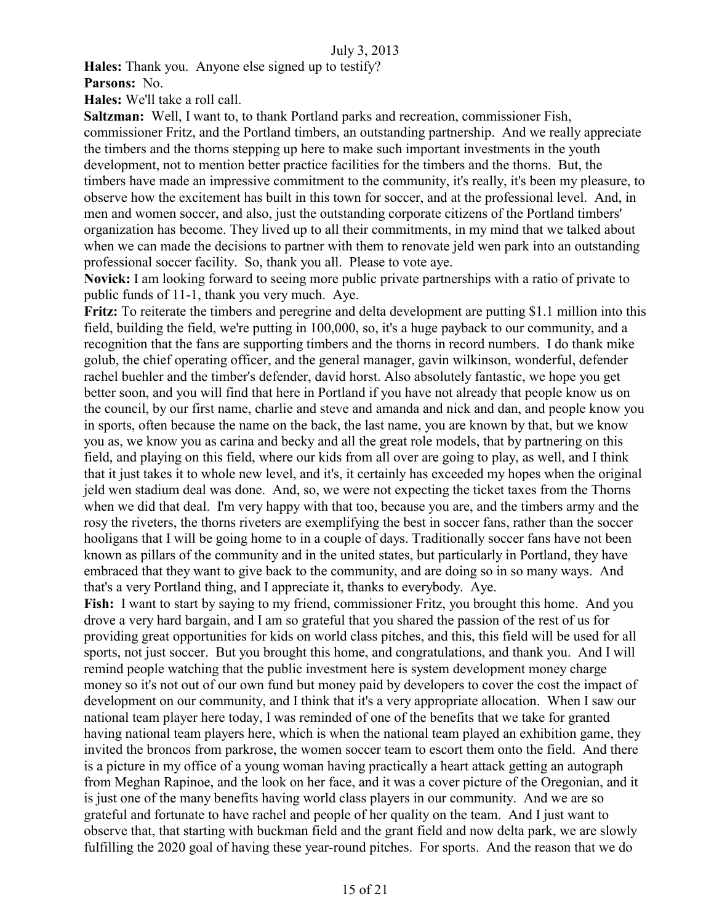**Hales:** Thank you. Anyone else signed up to testify?

**Parsons:** No.

**Hales:** We'll take a roll call.

**Saltzman:** Well, I want to, to thank Portland parks and recreation, commissioner Fish, commissioner Fritz, and the Portland timbers, an outstanding partnership. And we really appreciate the timbers and the thorns stepping up here to make such important investments in the youth development, not to mention better practice facilities for the timbers and the thorns. But, the timbers have made an impressive commitment to the community, it's really, it's been my pleasure, to observe how the excitement has built in this town for soccer, and at the professional level. And, in men and women soccer, and also, just the outstanding corporate citizens of the Portland timbers' organization has become. They lived up to all their commitments, in my mind that we talked about when we can made the decisions to partner with them to renovate jeld wen park into an outstanding professional soccer facility. So, thank you all. Please to vote aye.

**Novick:** I am looking forward to seeing more public private partnerships with a ratio of private to public funds of 11-1, thank you very much. Aye.

**Fritz:** To reiterate the timbers and peregrine and delta development are putting \$1.1 million into this field, building the field, we're putting in 100,000, so, it's a huge payback to our community, and a recognition that the fans are supporting timbers and the thorns in record numbers. I do thank mike golub, the chief operating officer, and the general manager, gavin wilkinson, wonderful, defender rachel buehler and the timber's defender, david horst. Also absolutely fantastic, we hope you get better soon, and you will find that here in Portland if you have not already that people know us on the council, by our first name, charlie and steve and amanda and nick and dan, and people know you in sports, often because the name on the back, the last name, you are known by that, but we know you as, we know you as carina and becky and all the great role models, that by partnering on this field, and playing on this field, where our kids from all over are going to play, as well, and I think that it just takes it to whole new level, and it's, it certainly has exceeded my hopes when the original jeld wen stadium deal was done. And, so, we were not expecting the ticket taxes from the Thorns when we did that deal. I'm very happy with that too, because you are, and the timbers army and the rosy the riveters, the thorns riveters are exemplifying the best in soccer fans, rather than the soccer hooligans that I will be going home to in a couple of days. Traditionally soccer fans have not been known as pillars of the community and in the united states, but particularly in Portland, they have embraced that they want to give back to the community, and are doing so in so many ways. And that's a very Portland thing, and I appreciate it, thanks to everybody. Aye.

**Fish:** I want to start by saying to my friend, commissioner Fritz, you brought this home. And you drove a very hard bargain, and I am so grateful that you shared the passion of the rest of us for providing great opportunities for kids on world class pitches, and this, this field will be used for all sports, not just soccer. But you brought this home, and congratulations, and thank you. And I will remind people watching that the public investment here is system development money charge money so it's not out of our own fund but money paid by developers to cover the cost the impact of development on our community, and I think that it's a very appropriate allocation. When I saw our national team player here today, I was reminded of one of the benefits that we take for granted having national team players here, which is when the national team played an exhibition game, they invited the broncos from parkrose, the women soccer team to escort them onto the field. And there is a picture in my office of a young woman having practically a heart attack getting an autograph from Meghan Rapinoe, and the look on her face, and it was a cover picture of the Oregonian, and it is just one of the many benefits having world class players in our community. And we are so grateful and fortunate to have rachel and people of her quality on the team. And I just want to observe that, that starting with buckman field and the grant field and now delta park, we are slowly fulfilling the 2020 goal of having these year-round pitches. For sports. And the reason that we do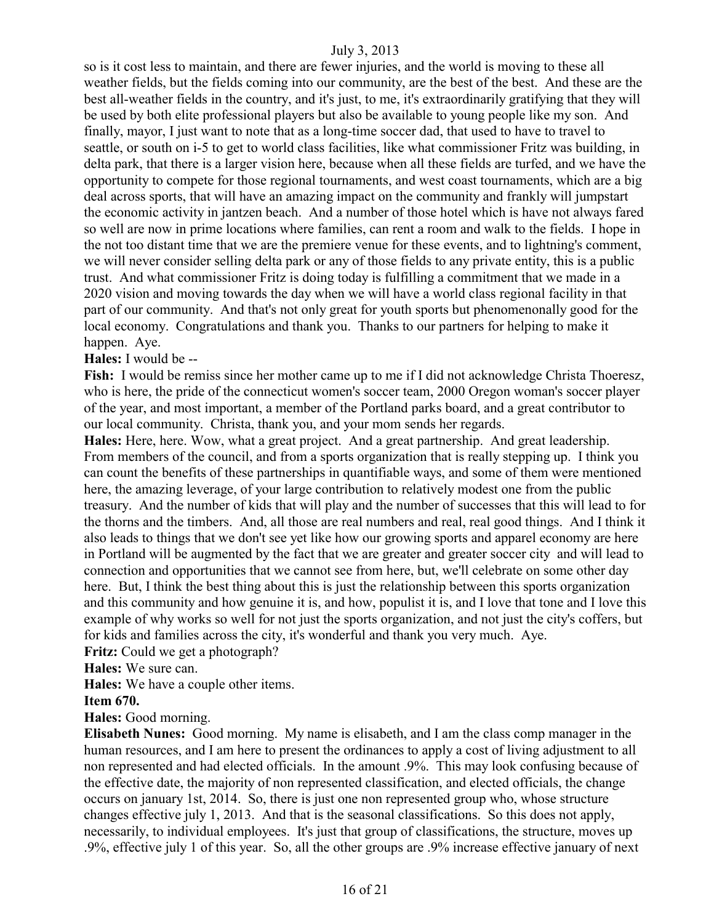so is it cost less to maintain, and there are fewer injuries, and the world is moving to these all weather fields, but the fields coming into our community, are the best of the best. And these are the best all-weather fields in the country, and it's just, to me, it's extraordinarily gratifying that they will be used by both elite professional players but also be available to young people like my son. And finally, mayor, I just want to note that as a long-time soccer dad, that used to have to travel to seattle, or south on i-5 to get to world class facilities, like what commissioner Fritz was building, in delta park, that there is a larger vision here, because when all these fields are turfed, and we have the opportunity to compete for those regional tournaments, and west coast tournaments, which are a big deal across sports, that will have an amazing impact on the community and frankly will jumpstart the economic activity in jantzen beach. And a number of those hotel which is have not always fared so well are now in prime locations where families, can rent a room and walk to the fields. I hope in the not too distant time that we are the premiere venue for these events, and to lightning's comment, we will never consider selling delta park or any of those fields to any private entity, this is a public trust. And what commissioner Fritz is doing today is fulfilling a commitment that we made in a 2020 vision and moving towards the day when we will have a world class regional facility in that part of our community. And that's not only great for youth sports but phenomenonally good for the local economy. Congratulations and thank you. Thanks to our partners for helping to make it happen. Aye.

#### **Hales:** I would be --

**Fish:** I would be remiss since her mother came up to me if I did not acknowledge Christa Thoeresz, who is here, the pride of the connecticut women's soccer team, 2000 Oregon woman's soccer player of the year, and most important, a member of the Portland parks board, and a great contributor to our local community. Christa, thank you, and your mom sends her regards.

**Hales:** Here, here. Wow, what a great project. And a great partnership. And great leadership. From members of the council, and from a sports organization that is really stepping up. I think you can count the benefits of these partnerships in quantifiable ways, and some of them were mentioned here, the amazing leverage, of your large contribution to relatively modest one from the public treasury. And the number of kids that will play and the number of successes that this will lead to for the thorns and the timbers. And, all those are real numbers and real, real good things. And I think it also leads to things that we don't see yet like how our growing sports and apparel economy are here in Portland will be augmented by the fact that we are greater and greater soccer city and will lead to connection and opportunities that we cannot see from here, but, we'll celebrate on some other day here. But, I think the best thing about this is just the relationship between this sports organization and this community and how genuine it is, and how, populist it is, and I love that tone and I love this example of why works so well for not just the sports organization, and not just the city's coffers, but for kids and families across the city, it's wonderful and thank you very much. Aye.

**Fritz:** Could we get a photograph?

**Hales:** We sure can.

**Hales:** We have a couple other items.

#### **Item 670.**

**Hales:** Good morning.

**Elisabeth Nunes:** Good morning. My name is elisabeth, and I am the class comp manager in the human resources, and I am here to present the ordinances to apply a cost of living adjustment to all non represented and had elected officials. In the amount .9%. This may look confusing because of the effective date, the majority of non represented classification, and elected officials, the change occurs on january 1st, 2014. So, there is just one non represented group who, whose structure changes effective july 1, 2013. And that is the seasonal classifications. So this does not apply, necessarily, to individual employees. It's just that group of classifications, the structure, moves up .9%, effective july 1 of this year. So, all the other groups are .9% increase effective january of next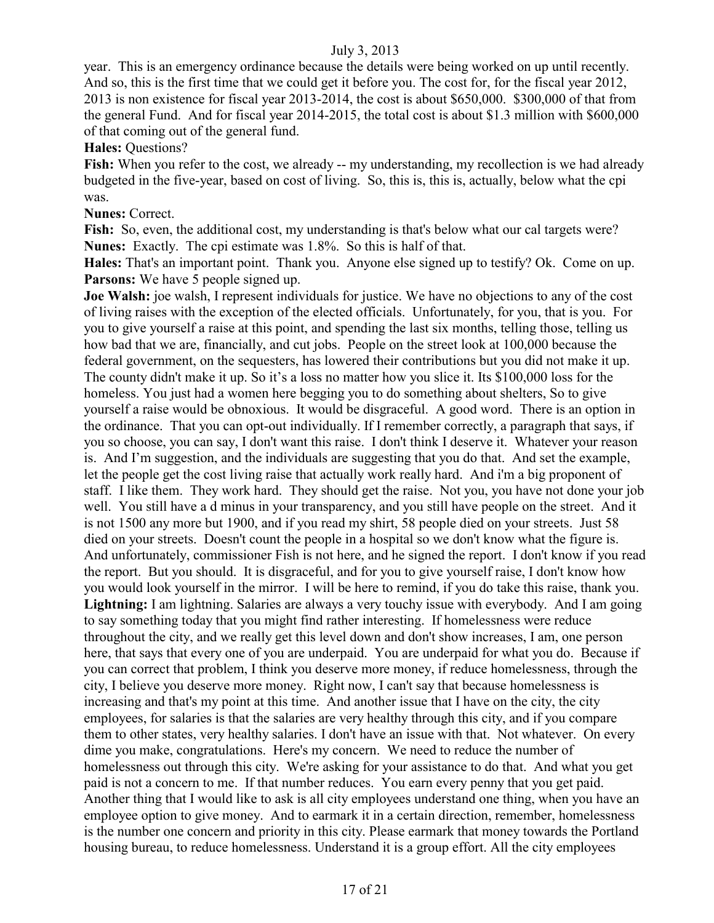year. This is an emergency ordinance because the details were being worked on up until recently. And so, this is the first time that we could get it before you. The cost for, for the fiscal year 2012, 2013 is non existence for fiscal year 2013-2014, the cost is about \$650,000. \$300,000 of that from the general Fund. And for fiscal year 2014-2015, the total cost is about \$1.3 million with \$600,000 of that coming out of the general fund.

**Hales:** Questions?

**Fish:** When you refer to the cost, we already -- my understanding, my recollection is we had already budgeted in the five-year, based on cost of living. So, this is, this is, actually, below what the cpi was.

#### **Nunes:** Correct.

Fish: So, even, the additional cost, my understanding is that's below what our cal targets were? **Nunes:** Exactly. The cpi estimate was 1.8%. So this is half of that.

**Hales:** That's an important point. Thank you. Anyone else signed up to testify? Ok. Come on up. **Parsons:** We have 5 people signed up.

**Joe Walsh:** joe walsh, I represent individuals for justice. We have no objections to any of the cost of living raises with the exception of the elected officials. Unfortunately, for you, that is you. For you to give yourself a raise at this point, and spending the last six months, telling those, telling us how bad that we are, financially, and cut jobs. People on the street look at 100,000 because the federal government, on the sequesters, has lowered their contributions but you did not make it up. The county didn't make it up. So it's a loss no matter how you slice it. Its \$100,000 loss for the homeless. You just had a women here begging you to do something about shelters, So to give yourself a raise would be obnoxious. It would be disgraceful. A good word. There is an option in the ordinance. That you can opt-out individually. If I remember correctly, a paragraph that says, if you so choose, you can say, I don't want this raise. I don't think I deserve it. Whatever your reason is. And I'm suggestion, and the individuals are suggesting that you do that. And set the example, let the people get the cost living raise that actually work really hard. And i'm a big proponent of staff. I like them. They work hard. They should get the raise. Not you, you have not done your job well. You still have a d minus in your transparency, and you still have people on the street. And it is not 1500 any more but 1900, and if you read my shirt, 58 people died on your streets. Just 58 died on your streets. Doesn't count the people in a hospital so we don't know what the figure is. And unfortunately, commissioner Fish is not here, and he signed the report. I don't know if you read the report. But you should. It is disgraceful, and for you to give yourself raise, I don't know how you would look yourself in the mirror. I will be here to remind, if you do take this raise, thank you. **Lightning:** I am lightning. Salaries are always a very touchy issue with everybody. And I am going to say something today that you might find rather interesting. If homelessness were reduce throughout the city, and we really get this level down and don't show increases, I am, one person here, that says that every one of you are underpaid. You are underpaid for what you do. Because if you can correct that problem, I think you deserve more money, if reduce homelessness, through the city, I believe you deserve more money. Right now, I can't say that because homelessness is increasing and that's my point at this time. And another issue that I have on the city, the city employees, for salaries is that the salaries are very healthy through this city, and if you compare them to other states, very healthy salaries. I don't have an issue with that. Not whatever. On every dime you make, congratulations. Here's my concern. We need to reduce the number of homelessness out through this city. We're asking for your assistance to do that. And what you get paid is not a concern to me. If that number reduces. You earn every penny that you get paid. Another thing that I would like to ask is all city employees understand one thing, when you have an employee option to give money. And to earmark it in a certain direction, remember, homelessness is the number one concern and priority in this city. Please earmark that money towards the Portland housing bureau, to reduce homelessness. Understand it is a group effort. All the city employees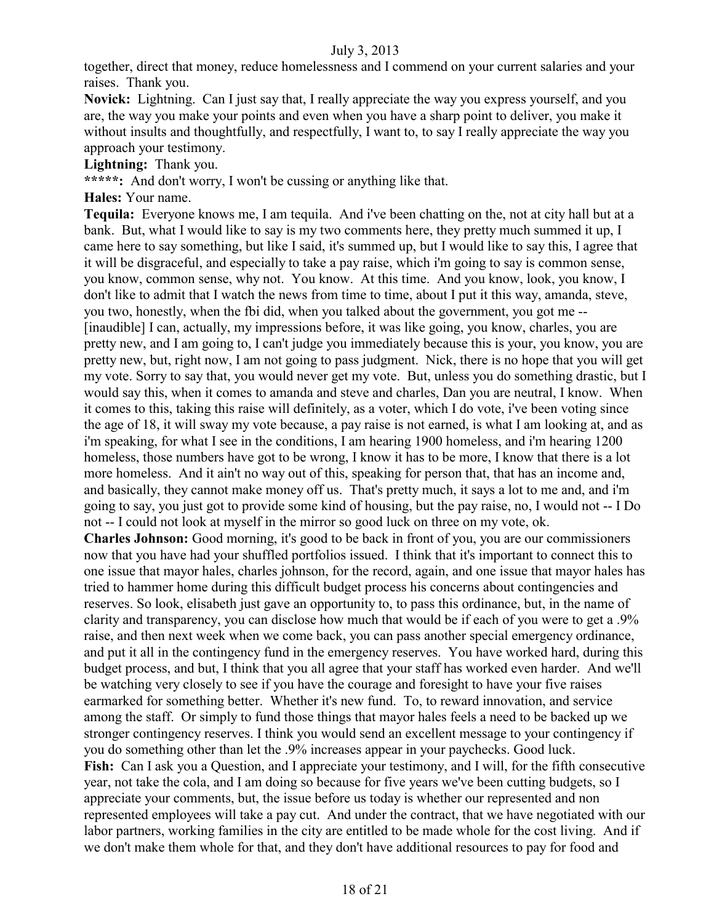together, direct that money, reduce homelessness and I commend on your current salaries and your raises. Thank you.

**Novick:** Lightning. Can I just say that, I really appreciate the way you express yourself, and you are, the way you make your points and even when you have a sharp point to deliver, you make it without insults and thoughtfully, and respectfully, I want to, to say I really appreciate the way you approach your testimony.

**Lightning:** Thank you.

**\*\*\*\*\*:** And don't worry, I won't be cussing or anything like that.

**Hales:** Your name.

**Tequila:** Everyone knows me, I am tequila. And i've been chatting on the, not at city hall but at a bank. But, what I would like to say is my two comments here, they pretty much summed it up, I came here to say something, but like I said, it's summed up, but I would like to say this, I agree that it will be disgraceful, and especially to take a pay raise, which i'm going to say is common sense, you know, common sense, why not. You know. At this time. And you know, look, you know, I don't like to admit that I watch the news from time to time, about I put it this way, amanda, steve, you two, honestly, when the fbi did, when you talked about the government, you got me -- [inaudible] I can, actually, my impressions before, it was like going, you know, charles, you are pretty new, and I am going to, I can't judge you immediately because this is your, you know, you are pretty new, but, right now, I am not going to pass judgment. Nick, there is no hope that you will get my vote. Sorry to say that, you would never get my vote. But, unless you do something drastic, but I would say this, when it comes to amanda and steve and charles, Dan you are neutral, I know. When it comes to this, taking this raise will definitely, as a voter, which I do vote, i've been voting since the age of 18, it will sway my vote because, a pay raise is not earned, is what I am looking at, and as i'm speaking, for what I see in the conditions, I am hearing 1900 homeless, and i'm hearing 1200 homeless, those numbers have got to be wrong, I know it has to be more, I know that there is a lot more homeless. And it ain't no way out of this, speaking for person that, that has an income and, and basically, they cannot make money off us. That's pretty much, it says a lot to me and, and i'm going to say, you just got to provide some kind of housing, but the pay raise, no, I would not -- I Do not -- I could not look at myself in the mirror so good luck on three on my vote, ok.

**Charles Johnson:** Good morning, it's good to be back in front of you, you are our commissioners now that you have had your shuffled portfolios issued. I think that it's important to connect this to one issue that mayor hales, charles johnson, for the record, again, and one issue that mayor hales has tried to hammer home during this difficult budget process his concerns about contingencies and reserves. So look, elisabeth just gave an opportunity to, to pass this ordinance, but, in the name of clarity and transparency, you can disclose how much that would be if each of you were to get a .9% raise, and then next week when we come back, you can pass another special emergency ordinance, and put it all in the contingency fund in the emergency reserves. You have worked hard, during this budget process, and but, I think that you all agree that your staff has worked even harder. And we'll be watching very closely to see if you have the courage and foresight to have your five raises earmarked for something better. Whether it's new fund. To, to reward innovation, and service among the staff. Or simply to fund those things that mayor hales feels a need to be backed up we stronger contingency reserves. I think you would send an excellent message to your contingency if you do something other than let the .9% increases appear in your paychecks. Good luck. **Fish:** Can I ask you a Question, and I appreciate your testimony, and I will, for the fifth consecutive year, not take the cola, and I am doing so because for five years we've been cutting budgets, so I appreciate your comments, but, the issue before us today is whether our represented and non represented employees will take a pay cut. And under the contract, that we have negotiated with our labor partners, working families in the city are entitled to be made whole for the cost living. And if we don't make them whole for that, and they don't have additional resources to pay for food and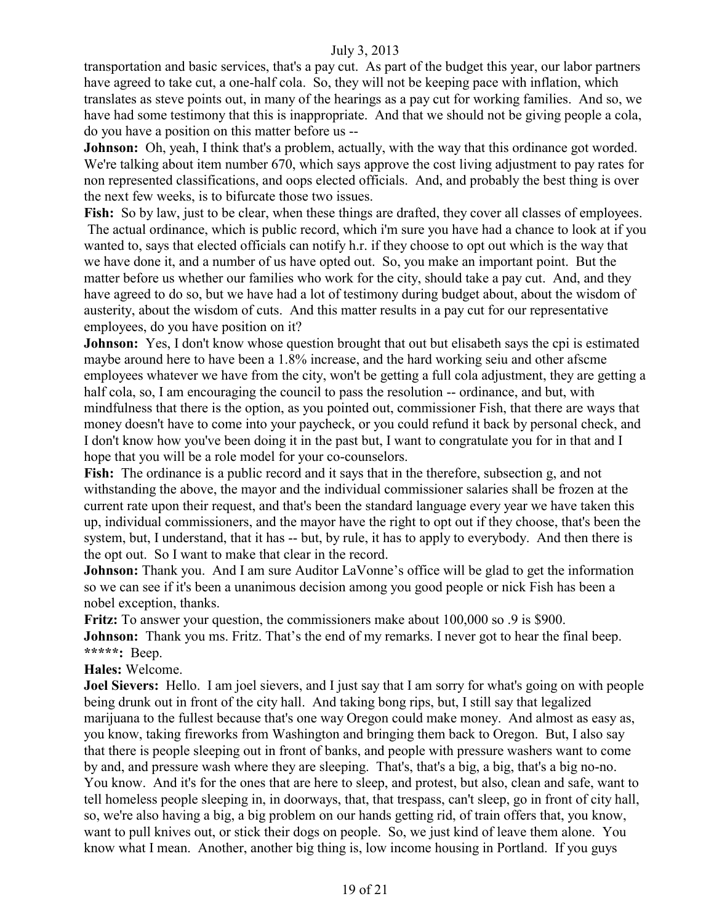transportation and basic services, that's a pay cut. As part of the budget this year, our labor partners have agreed to take cut, a one-half cola. So, they will not be keeping pace with inflation, which translates as steve points out, in many of the hearings as a pay cut for working families. And so, we have had some testimony that this is inappropriate. And that we should not be giving people a cola, do you have a position on this matter before us --

**Johnson:** Oh, yeah, I think that's a problem, actually, with the way that this ordinance got worded. We're talking about item number 670, which says approve the cost living adjustment to pay rates for non represented classifications, and oops elected officials. And, and probably the best thing is over the next few weeks, is to bifurcate those two issues.

Fish: So by law, just to be clear, when these things are drafted, they cover all classes of employees. The actual ordinance, which is public record, which i'm sure you have had a chance to look at if you wanted to, says that elected officials can notify h.r. if they choose to opt out which is the way that we have done it, and a number of us have opted out. So, you make an important point. But the matter before us whether our families who work for the city, should take a pay cut. And, and they have agreed to do so, but we have had a lot of testimony during budget about, about the wisdom of austerity, about the wisdom of cuts. And this matter results in a pay cut for our representative employees, do you have position on it?

**Johnson:** Yes, I don't know whose question brought that out but elisabeth says the cpi is estimated maybe around here to have been a 1.8% increase, and the hard working seiu and other afscme employees whatever we have from the city, won't be getting a full cola adjustment, they are getting a half cola, so, I am encouraging the council to pass the resolution -- ordinance, and but, with mindfulness that there is the option, as you pointed out, commissioner Fish, that there are ways that money doesn't have to come into your paycheck, or you could refund it back by personal check, and I don't know how you've been doing it in the past but, I want to congratulate you for in that and I hope that you will be a role model for your co-counselors.

**Fish:** The ordinance is a public record and it says that in the therefore, subsection g, and not withstanding the above, the mayor and the individual commissioner salaries shall be frozen at the current rate upon their request, and that's been the standard language every year we have taken this up, individual commissioners, and the mayor have the right to opt out if they choose, that's been the system, but, I understand, that it has -- but, by rule, it has to apply to everybody. And then there is the opt out. So I want to make that clear in the record.

**Johnson:** Thank you. And I am sure Auditor LaVonne's office will be glad to get the information so we can see if it's been a unanimous decision among you good people or nick Fish has been a nobel exception, thanks.

**Fritz:** To answer your question, the commissioners make about 100,000 so .9 is \$900. **Johnson:** Thank you ms. Fritz. That's the end of my remarks. I never got to hear the final beep. **\*\*\*\*\*:** Beep.

#### **Hales:** Welcome.

**Joel Sievers:** Hello. I am joel sievers, and I just say that I am sorry for what's going on with people being drunk out in front of the city hall. And taking bong rips, but, I still say that legalized marijuana to the fullest because that's one way Oregon could make money. And almost as easy as, you know, taking fireworks from Washington and bringing them back to Oregon. But, I also say that there is people sleeping out in front of banks, and people with pressure washers want to come by and, and pressure wash where they are sleeping. That's, that's a big, a big, that's a big no-no. You know. And it's for the ones that are here to sleep, and protest, but also, clean and safe, want to tell homeless people sleeping in, in doorways, that, that trespass, can't sleep, go in front of city hall, so, we're also having a big, a big problem on our hands getting rid, of train offers that, you know, want to pull knives out, or stick their dogs on people. So, we just kind of leave them alone. You know what I mean. Another, another big thing is, low income housing in Portland. If you guys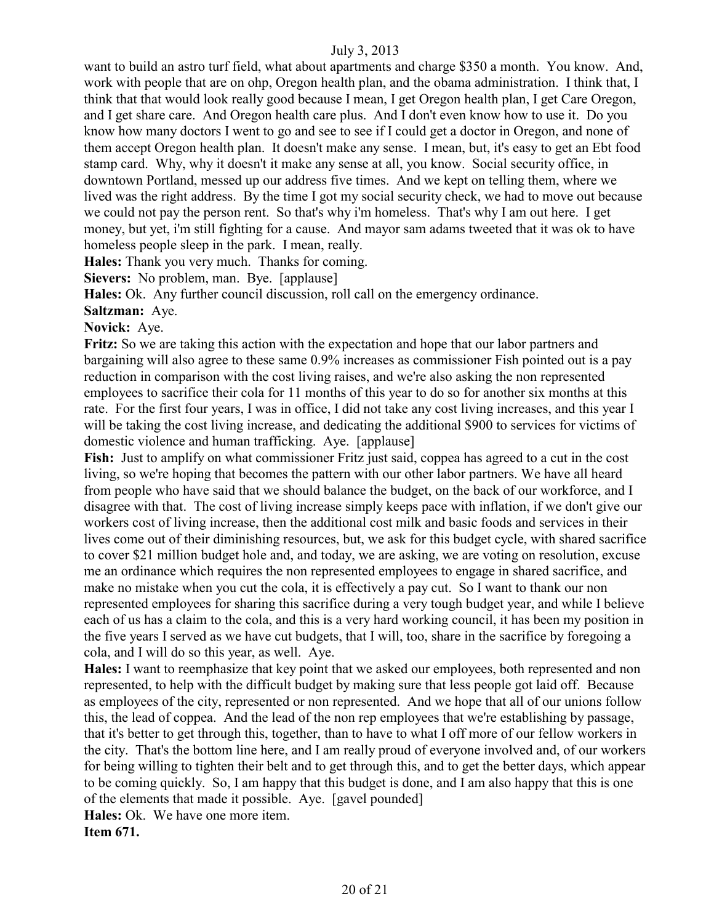want to build an astro turf field, what about apartments and charge \$350 a month. You know. And, work with people that are on ohp, Oregon health plan, and the obama administration. I think that, I think that that would look really good because I mean, I get Oregon health plan, I get Care Oregon, and I get share care. And Oregon health care plus. And I don't even know how to use it. Do you know how many doctors I went to go and see to see if I could get a doctor in Oregon, and none of them accept Oregon health plan. It doesn't make any sense. I mean, but, it's easy to get an Ebt food stamp card. Why, why it doesn't it make any sense at all, you know. Social security office, in downtown Portland, messed up our address five times. And we kept on telling them, where we lived was the right address. By the time I got my social security check, we had to move out because we could not pay the person rent. So that's why i'm homeless. That's why I am out here. I get money, but yet, i'm still fighting for a cause. And mayor sam adams tweeted that it was ok to have homeless people sleep in the park. I mean, really.

**Hales:** Thank you very much. Thanks for coming.

**Sievers:** No problem, man. Bye. [applause]

**Hales:** Ok. Any further council discussion, roll call on the emergency ordinance.

**Saltzman:** Aye.

#### **Novick:** Aye.

**Fritz:** So we are taking this action with the expectation and hope that our labor partners and bargaining will also agree to these same 0.9% increases as commissioner Fish pointed out is a pay reduction in comparison with the cost living raises, and we're also asking the non represented employees to sacrifice their cola for 11 months of this year to do so for another six months at this rate. For the first four years, I was in office, I did not take any cost living increases, and this year I will be taking the cost living increase, and dedicating the additional \$900 to services for victims of domestic violence and human trafficking. Aye. [applause]

Fish: Just to amplify on what commissioner Fritz just said, coppea has agreed to a cut in the cost living, so we're hoping that becomes the pattern with our other labor partners. We have all heard from people who have said that we should balance the budget, on the back of our workforce, and I disagree with that. The cost of living increase simply keeps pace with inflation, if we don't give our workers cost of living increase, then the additional cost milk and basic foods and services in their lives come out of their diminishing resources, but, we ask for this budget cycle, with shared sacrifice to cover \$21 million budget hole and, and today, we are asking, we are voting on resolution, excuse me an ordinance which requires the non represented employees to engage in shared sacrifice, and make no mistake when you cut the cola, it is effectively a pay cut. So I want to thank our non represented employees for sharing this sacrifice during a very tough budget year, and while I believe each of us has a claim to the cola, and this is a very hard working council, it has been my position in the five years I served as we have cut budgets, that I will, too, share in the sacrifice by foregoing a cola, and I will do so this year, as well. Aye.

**Hales:** I want to reemphasize that key point that we asked our employees, both represented and non represented, to help with the difficult budget by making sure that less people got laid off. Because as employees of the city, represented or non represented. And we hope that all of our unions follow this, the lead of coppea. And the lead of the non rep employees that we're establishing by passage, that it's better to get through this, together, than to have to what I off more of our fellow workers in the city. That's the bottom line here, and I am really proud of everyone involved and, of our workers for being willing to tighten their belt and to get through this, and to get the better days, which appear to be coming quickly. So, I am happy that this budget is done, and I am also happy that this is one of the elements that made it possible. Aye. [gavel pounded]

**Hales:** Ok. We have one more item.

**Item 671.**